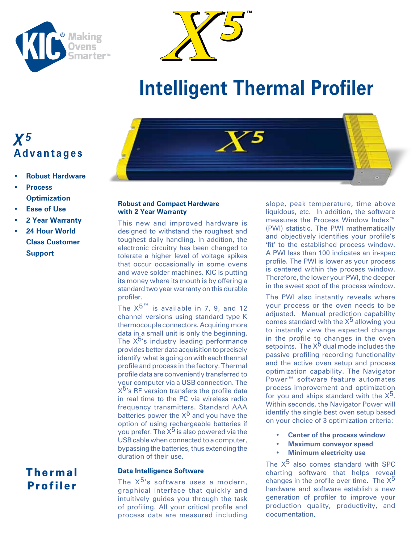



# **Intelligent Thermal Profiler**

# *X5* **Advantages**

- **Robust Hardware**
- **• Process Optimization**
- **Ease of Use**
- **• 2 Year Warranty**
- **24 Hour World Class Customer Support**

## Thermal Profiler



## **Robust and Compact Hardware with 2 Year Warranty**

This new and improved hardware is designed to withstand the roughest and toughest daily handling. In addition, the electronic circuitry has been changed to tolerate a higher level of voltage spikes that occur occasionally in some ovens and wave solder machines. KIC is putting its money where its mouth is by offering a standard two year warranty on this durable profiler.

The  $X^{5^{™}}$  is available in 7, 9, and 12 channel versions using standard type K thermocouple connectors. Acquiring more data in a small unit is only the beginning. The  $X^{5}$ 's industry leading performance provides better data acquisition to precisely identify what is going on with each thermal profile and process in the factory. Thermal profile data are conveniently transferred to your computer via a USB connection. The  $X^{5}$ 's RF version transfers the profile data in real time to the PC via wireless radio frequency transmitters. Standard AAA batteries power the  $X^5$  and you have the option of using rechargeable batteries if you prefer. The  $X^5$  is also powered via the USB cable when connected to a computer, bypassing the batteries, thus extending the duration of their use.

## **Data Intelligence Software**

The  $X^{5}$ 's software uses a modern, graphical interface that quickly and intuitively guides you through the task of profiling. All your critical profile and process data are measured including

slope, peak temperature, time above liquidous, etc. In addition, the software measures the Process Window Index™ (PWI) statistic. The PWI mathematically and objectively identifies your profile's 'fit' to the established process window. A PWI less than 100 indicates an in-spec profile. The PWI is lower as your process is centered within the process window. Therefore, the lower your PWI, the deeper in the sweet spot of the process window.

The PWI also instantly reveals where your process or the oven needs to be adjusted. Manual prediction capability comes standard with the  $X^5$  allowing you to instantly view the expected change in the profile to changes in the oven setpoints. The X<sup>5</sup> dual mode includes the passive profiling recording functionality and the active oven setup and process optimization capability. The Navigator Power™ software feature automates process improvement and optimization for you and ships standard with the  $X^5$ . Within seconds, the Navigator Power will identify the single best oven setup based on your choice of 3 optimization criteria:

- **Center of the process window**
- **Maximum conveyor speed**
- **Minimum electricity use**

The  $X^5$  also comes standard with SPC charting software that helps reveal changes in the profile over time. The  $X^5$ hardware and software establish a new generation of profiler to improve your production quality, productivity, and documentation.